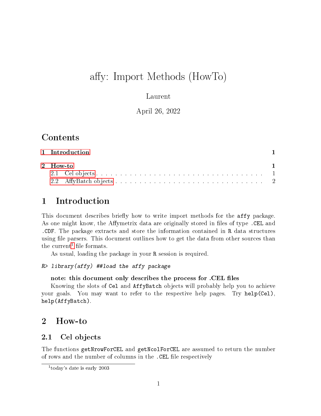# affy: Import Methods (HowTo)

### Laurent

### April 26, 2022

# Contents

| 1 Introduction |  |
|----------------|--|
| 2 How-to       |  |
|                |  |
|                |  |

# <span id="page-0-0"></span>1 Introduction

This document describes briefly how to write import methods for the affy package. As one might know, the Affymetrix data are originally stored in files of type. CEL and .CDF. The package extracts and store the information contained in R data structures using file parsers. This document outlines how to get the data from other sources than the current<sup>[1](#page-0-3)</sup> file formats.

As usual, loading the package in your R session is required.

```
R> library(affy) ##load the affy package
```
#### note: this document only describes the process for .CEL files

Knowing the slots of Cel and AffyBatch objects will probably help you to achieve your goals. You may want to refer to the respective help pages. Try help(Cel), help(AffyBatch).

## <span id="page-0-1"></span>2 How-to

### <span id="page-0-2"></span>2.1 Cel objects

The functions getNrowForCEL and getNcolForCEL are assumed to return the number of rows and the number of columns in the .CEL file respectively

<span id="page-0-3"></span><sup>&</sup>lt;sup>1</sup>today's date is early 2003